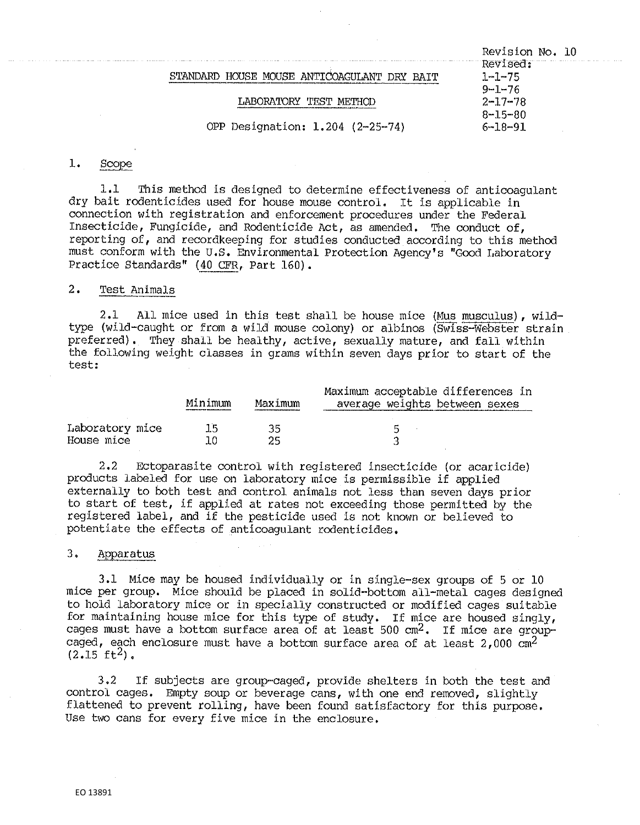Revision No, 10 Revised:<br>1-1-75 STANDARD HOUSE MOUSE ANTICOAGULANT DRY BAIT 9-1-76<br>2-17-78 LABORATORY TEST METHOD 8-15-80<br>6-18-91 OPP Designation:  $1.204$  (2-25-74)

#### $1.$ Scope

1.1 This method is designed to determine effectiveness of anticoagulant dry bait rodenticides used for house mouse control. It is applicable in connection with registration and enforcement procedures under the Federal Insecticide, Fungicide, and Rodenticide Act, as amended, The conduct of, reporting of, and recordkeeping for studies conducted according to this method must conform with the u.s, Environmental Protection Agency's "Good Laboratory Practice Standards" (40 CFR, Part 160).

# 2. Test Animals

2 ,1 All mice used in this test shall be house mice (Mus musculus), wildtype (wild-caught or from a wild mouse colony) or albinos (Swiss-Webster strain preferred). They shall be healthy, active, sexually mature, and fall within the following weight classes in grams within seven days prior to start of the test:

|                               | Minimum | Maximum  | Maximum acceptable differences in<br>average weights between sexes |
|-------------------------------|---------|----------|--------------------------------------------------------------------|
| Laboratory mice<br>House mice | ד ד     | วร<br>つに | Б                                                                  |

2.2 Ectoparasite control with registered insecticide (or acaricide) products labeled for use on laboratory mice is permissible if applied externally to both test and control animals not less than seven days prior to start of test, if applied at rates not exceeding those permitted by the registered label, and if the pesticide used is not known or believed to potentiate the effects of anticoagulant rodenticides.

# 3, Apparatus

3.1 Mice may be housed individually or in single-sex groups of 5 or 10 mice per group. Mice should be placed in solid-bottom all-metal cages designed to hold laboratory mice or in specially constructed or modified cages suitable for maintaining house mice for this type of study. If mice are housed singly, cages must have a bottom surface area of at least 500 cm2. If mice are groupcaged, each enclosure must have a bottom surface area of at least  $2,000$  cm<sup>2</sup>  $(2.15 \text{ ft}^2)$ .

3.2 If subjects are group·-caged, provide shelters in beth the test and control cages. Empty soup or beverage cans, with one end removed, slightly flattened to prevent rolling, have been found satisfactory for this purpose. Use two cans for every five mice in the enclosure.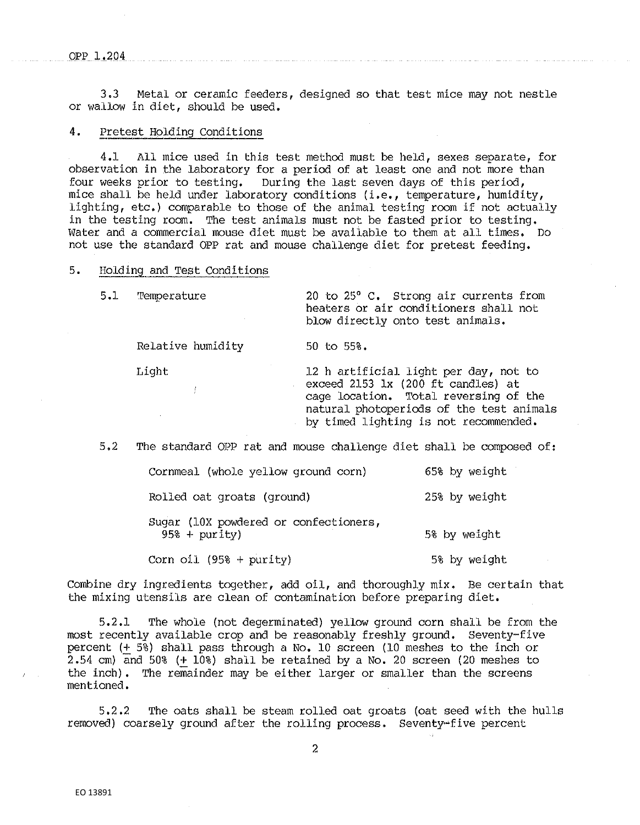QPP1,2Q4

3,3 Metal or ceramic feeders, designed so that test mice may not nestle or wallow in diet, should be used.

## 4. Pretest Holding Conditions

4,1 All mice used in this test method must be held, sexes separate, for observation in the laboratory for a period of at least one and not more than four weeks prior to testing. During the last seven days of this period, mice shall be held under laboratory conditions (i.e., temperature, humidity, lighting, etc.) comparable to those of the animal testing room if [not actua](https://humidi.ty)lly in the testing room. The test animals must not be fasted prior to testing. Water and a commercial mouse diet must be available to them at all times. Do not use the standard OPP rat and mouse challenge diet for pretest feeding,

## 5. Holding and Test Conditions

5.1 Temperature 20 to 25° C. Strong air currents from heaters or air conditioners shall. not blow directly onto test animals.

Relative humidity 50 to 55%.

Light 12 h artificial light per day, not to exceed 2153 lx (200 ft candles) at cage location. Total reversing of the natural photoperiods of the test animals by timed lighting is not recommended.

5,2 The standard OPP rat and mouse challenge diet shall be composed of:

| Cornmeal (whole yellow ground corn)                     | 65% by weight |
|---------------------------------------------------------|---------------|
| Rolled oat groats (ground)                              | 25% by weight |
| Sugar (10X powdered or confectioners,<br>$95% + purity$ | 5% by weight  |
| Corn oil $(958 + purity)$                               | 5% by weight  |

Combine dry ingredients together, add oil, and thoroughly mix. Be certain that the mixing utensils are clean of contamination before preparing diet.

5,2.1 The whole (not degerminated) yellow ground corn shall be from the most recently available crop and be reasonably freshly ground. Seventy-five percent (+ 5%) shall pass through a No, 10 screen (10 meshes to the inch or 2.54 cm) and 50% (+ 10%) shall be retained by a No. 20 screen (20 meshes to the inch). The remainder may be either larger or smaller than the screens mentioned.

5,2.2 The oats shall be steam rolled oat groats (oat seed with the hulls removed) coarsely ground after the rolling process. Seventy~five percent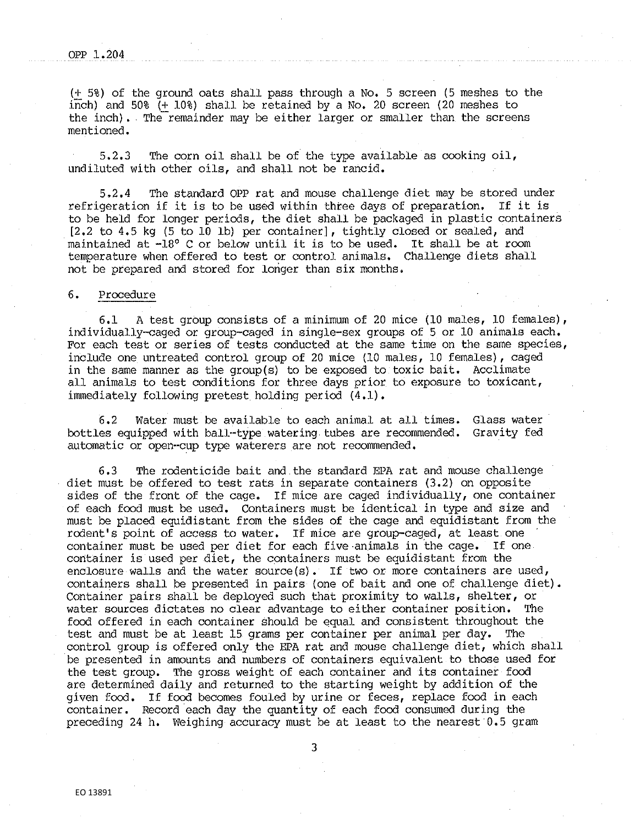(+ 5%) of the ground oats shall pass through a No. 5 screen (5 meshes to the inch) and 50% (+ 10%) shall be retained by a No, 20 screen (20 meshes to the inch). The remainder may be either larger or smaller than the screens mentioned.

5.2.3 The corn oil shall be of the type available as cooking oil, undiluted with other oils, and shall not be rancid.

5.2.4 • The standard OPP rat and mouse challenge diet may be stored under refrigeration if it is to be used within three days of preparation. If it is to be held for longer periods, the diet shall be packaged in plastic containers [2.2 to 4.5 kg (5 to 10 lb) per container], tightly closed or sealed, and maintained at -18° C or below until it is to be used. It shall be at room temperature when offered to test or control animals, Challenge diets shall not be prepared and stored for longer than six months,

### 6. Procedure

6.1 A test group consists of a minimum of 20 mice (10 males, 10 females), individually-caged or group-caged in single-sex groups of 5 or 10 animals each, For each test or series of tests conducted at the same time on the same species, include one untreated control group of 20 mice (10 males, 10 females), caged in the same manner as the group(s) to be exposed to toxic bait. Acclimate all animals to test conditions for three days prior to exposure to toxicant, immediately following pretest holding period (4.1).

6.2 Water must be available to each animal at all times. Glass water bottles equipped with ball··type watering tubes are recommended. Gravity fed automatic or open--cup type waterers are not recommended.

6 ,3 The rodenticide bait and the standard EPA rat and mouse challenge diet must be offered to test rats in separate containers (3.2) on opposite sides of the front of the cage. If mice are caged individually, one container of each food must be used. Containers must be identical in type and size and must be placed equidistant from the sides of the cage and equidistant from the rodent's point of access to water. If mice are group-caged, at least one container must be used per diet for each five.animals in the cage. If one container is used per diet, the containers must be equidistant from the enclosure walls and the water source(s). If two or more containers are used, containers shall be presented in pairs (one of bait and one of challenge diet). Container pairs shall be deployed such that proximity to walls, shelter, or water sources dictates no clear advantage to either container position. The food offered in each container should be equal. and consistent throughout the test and must be at least 15 grams per container per animal per day. The control group is offered only the EPA rat and mouse challenge diet, which shall be presented in amounts and numbers of containers equivalent to those used for the test group. The gross weight of each container and its container food are determined daily and returned to the starting weight by addition of the given food. If food becomes fouled by urine or feces, replace food in each container. Record each day the quantity of each food consumed during the preceding 24 h. Weighing accuracy must be at least to the nearest 0.5 gram

3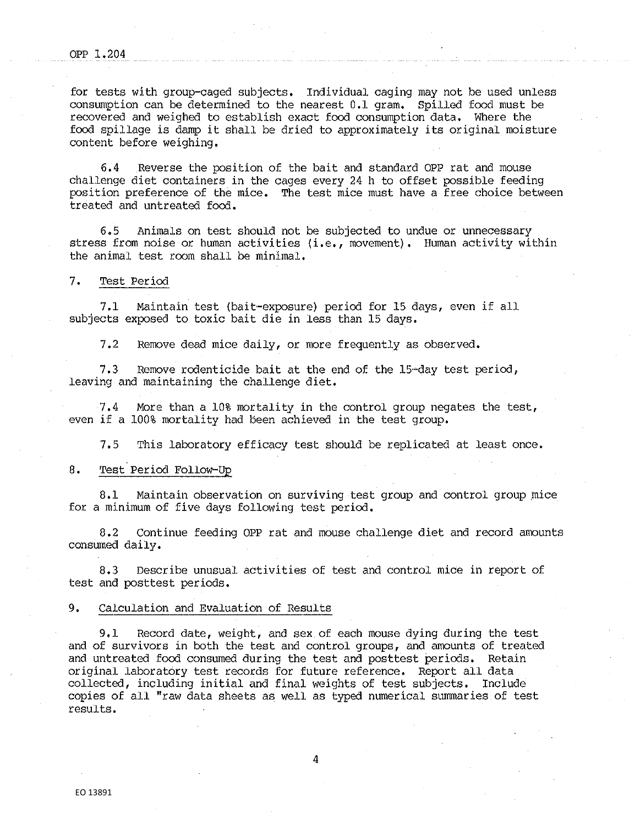for tests with group-caged subjects. Individual caging may not be used unless consumption can be determined to the nearest 0,1 gram. Spilled food must be recovered and weighed to establish exact food consumption data. Where the food spillage is damp it shall be dried to approximately its original moisture content before weighing.

6.4 Reverse the position of the bait and standard OPP rat and mouse challenge diet containers in the cages every 24 h to offset possible feeding position preference of the mice, The test mice must have a free choice between treated and untreated food,

6.5 Animals on test should not be subjected to undue or unnecessary stress from noise or human activities (i.e., movement). Human activity within the animal test room shall be minimal.

#### 7, Test Period

7**.1** Maintain test (bait·-exposure) period for 15 days, even if all subjects exposed to toxic bait die in less than 15 days.

7.2 Remove dead mice daily, or more frequently as observed.

7.3 Remove rodenticide bait at the end of the 15·•day test period, leaving and maintaining the challenge diet.

7.4 More than a 10% mortality **in** the control group negates the test, even if a 100% mortality had been achieved in the test group,

7,5 This laboratory efficacy test should be replicated at least once.

#### 8. Test.Period Follow-Up

8.1 Maintain observation on surviving test group and control group mice for a minimum of five days following test period.

8.2 Continue feeding OPP rat and mouse challenge diet and record amounts consumed daily.

8.3 Describe unusual activities of test and control mice in report of test and posttest periods.

#### 9, Calculation and Evaluation of Results

9,1 Record date, weight, and sex of each mouse dying during the test and of survivors in both the test and control groups, and amounts of treated and untreated food consumed during the test and posttest periods. Retain original laboratory test records for future reference, Report all data collected, including initial and final weights of test subjects. Include copies of all "raw data sheets as well as typed numerical summaries of test results.